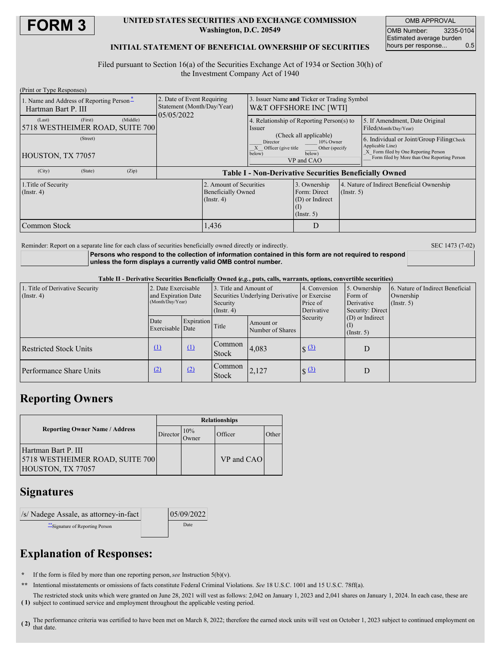

### **UNITED STATES SECURITIES AND EXCHANGE COMMISSION Washington, D.C. 20549**

OMB APPROVAL OMB Number: 3235-0104 Estimated average burden<br>hours per response... 0.5 hours per response...

## **INITIAL STATEMENT OF BENEFICIAL OWNERSHIP OF SECURITIES**

Filed pursuant to Section 16(a) of the Securities Exchange Act of 1934 or Section 30(h) of the Investment Company Act of 1940

| (Print or Type Responses)                                       |                                            |          |                                                                          |                                                                                                              |                                                                       |                                                                                                                                                       |  |                                                         |  |
|-----------------------------------------------------------------|--------------------------------------------|----------|--------------------------------------------------------------------------|--------------------------------------------------------------------------------------------------------------|-----------------------------------------------------------------------|-------------------------------------------------------------------------------------------------------------------------------------------------------|--|---------------------------------------------------------|--|
| 1. Name and Address of Reporting Person-<br>Hartman Bart P. III |                                            |          | 2. Date of Event Requiring<br>Statement (Month/Day/Year)<br>05/05/2022   |                                                                                                              | 3. Issuer Name and Ticker or Trading Symbol<br>W&T OFFSHORE INC [WTI] |                                                                                                                                                       |  |                                                         |  |
| (Last)                                                          | (First)<br>5718 WESTHEIMER ROAD, SUITE 700 | (Middle) |                                                                          |                                                                                                              | 4. Relationship of Reporting Person(s) to<br>Issuer                   |                                                                                                                                                       |  | 5. If Amendment, Date Original<br>Filed(Month/Day/Year) |  |
| (Street)<br>HOUSTON, TX 77057                                   |                                            |          |                                                                          | (Check all applicable)<br>Director<br>10% Owner<br>Officer (give title<br>Other (specify<br>below)<br>below) |                                                                       | 6. Individual or Joint/Group Filing Check<br>Applicable Line)<br>X Form filed by One Reporting Person<br>Form filed by More than One Reporting Person |  |                                                         |  |
| (City)                                                          | (State)                                    | (Zip)    |                                                                          | VP and CAO                                                                                                   |                                                                       |                                                                                                                                                       |  |                                                         |  |
|                                                                 |                                            |          |                                                                          |                                                                                                              | <b>Table I - Non-Derivative Securities Beneficially Owned</b>         |                                                                                                                                                       |  |                                                         |  |
| 1. Title of Security<br>$($ Instr. 4 $)$                        |                                            |          | 2. Amount of Securities<br><b>Beneficially Owned</b><br>$($ Instr. 4 $)$ |                                                                                                              | 3. Ownership<br>Form: Direct<br>(D) or Indirect<br>$($ Instr. 5 $)$   | 4. Nature of Indirect Beneficial Ownership<br>(Insert, 5)                                                                                             |  |                                                         |  |
| Common Stock                                                    |                                            |          |                                                                          | 1,436                                                                                                        |                                                                       | D                                                                                                                                                     |  |                                                         |  |

Reminder: Report on a separate line for each class of securities beneficially owned directly or indirectly. SEC 1473 (7-02)

**Persons who respond to the collection of information contained in this form are not required to respond unless the form displays a currently valid OMB control number.**

Table II - Derivative Securities Beneficially Owned (e.g., puts, calls, warrants, options, convertible securities)

| 1. Title of Derivative Security<br>$($ Instr. 4 $)$ | 2. Date Exercisable<br>and Expiration Date<br>(Month/Day/Year) |            | 3. Title and Amount of<br>Securities Underlying Derivative or Exercise<br>Security<br>$($ Instr. 4 $)$ |                               | 4. Conversion<br>Price of<br>Derivative | 5. Ownership<br>Form of<br>Derivative<br>Security: Direct | 6. Nature of Indirect Beneficial<br>Ownership<br>$($ Instr. 5 $)$ |
|-----------------------------------------------------|----------------------------------------------------------------|------------|--------------------------------------------------------------------------------------------------------|-------------------------------|-----------------------------------------|-----------------------------------------------------------|-------------------------------------------------------------------|
|                                                     | Date<br>Exercisable Date                                       | Expiration | Title                                                                                                  | Amount or<br>Number of Shares | Security                                | (D) or Indirect<br>$($ Instr. 5 $)$                       |                                                                   |
| <b>Restricted Stock Units</b>                       | $\Omega$                                                       | $\Omega$   | Common<br><b>Stock</b>                                                                                 | 4,083                         | $\sqrt{(3)}$                            | D                                                         |                                                                   |
| Performance Share Units                             | (2)                                                            | (2)        | Common<br><b>Stock</b>                                                                                 | 2,127                         | $\sqrt{(3)}$                            | D                                                         |                                                                   |

# **Reporting Owners**

|                                                                             | <b>Relationships</b> |              |            |       |  |  |
|-----------------------------------------------------------------------------|----------------------|--------------|------------|-------|--|--|
| <b>Reporting Owner Name / Address</b>                                       | Director             | 10%<br>Jwner | Officer    | Other |  |  |
| Hartman Bart P. III<br>5718 WESTHEIMER ROAD, SUITE 700<br>HOUSTON, TX 77057 |                      |              | VP and CAO |       |  |  |

# **Signatures**

| /s/ Nadege Assale, as attorney-in-fact | 05/09/2022 |
|----------------------------------------|------------|
| ** Signature of Reporting Person       | Date       |

# **Explanation of Responses:**

**\*** If the form is filed by more than one reporting person,*see* Instruction 5(b)(v).

**\*\*** Intentional misstatements or omissions of facts constitute Federal Criminal Violations. *See* 18 U.S.C. 1001 and 15 U.S.C. 78ff(a).

**( 1)** subject to continued service and employment throughout the applicable vesting period. The restricted stock units which were granted on June 28, 2021 will vest as follows: 2,042 on January 1, 2023 and 2,041 shares on January 1, 2024. In each case, these are

**( 2)** The performance criteria was certified to have been met on March 8, 2022; therefore the earned stock units will vest on October 1, 2023 subject to continued employment on that date.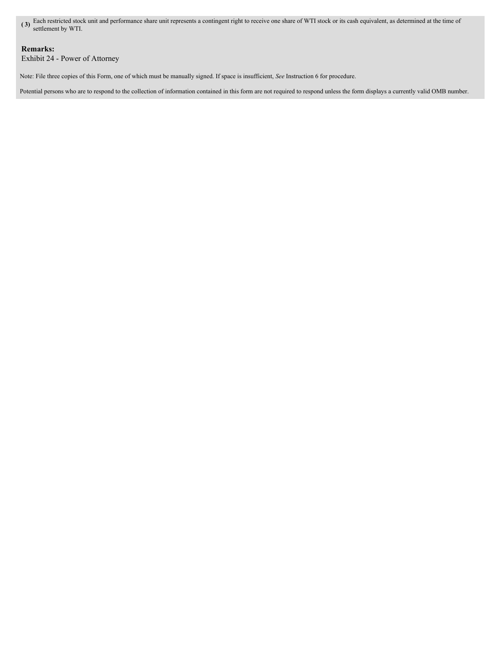**( 3)** Each restricted stock unit and performance share unit represents a contingent right to receive one share of WTI stock or its cash equivalent, as determined at the time of settlement by WTI.

## **Remarks:**

Exhibit 24 - Power of Attorney

Note: File three copies of this Form, one of which must be manually signed. If space is insufficient, *See* Instruction 6 for procedure.

Potential persons who are to respond to the collection of information contained in this form are not required to respond unless the form displays a currently valid OMB number.